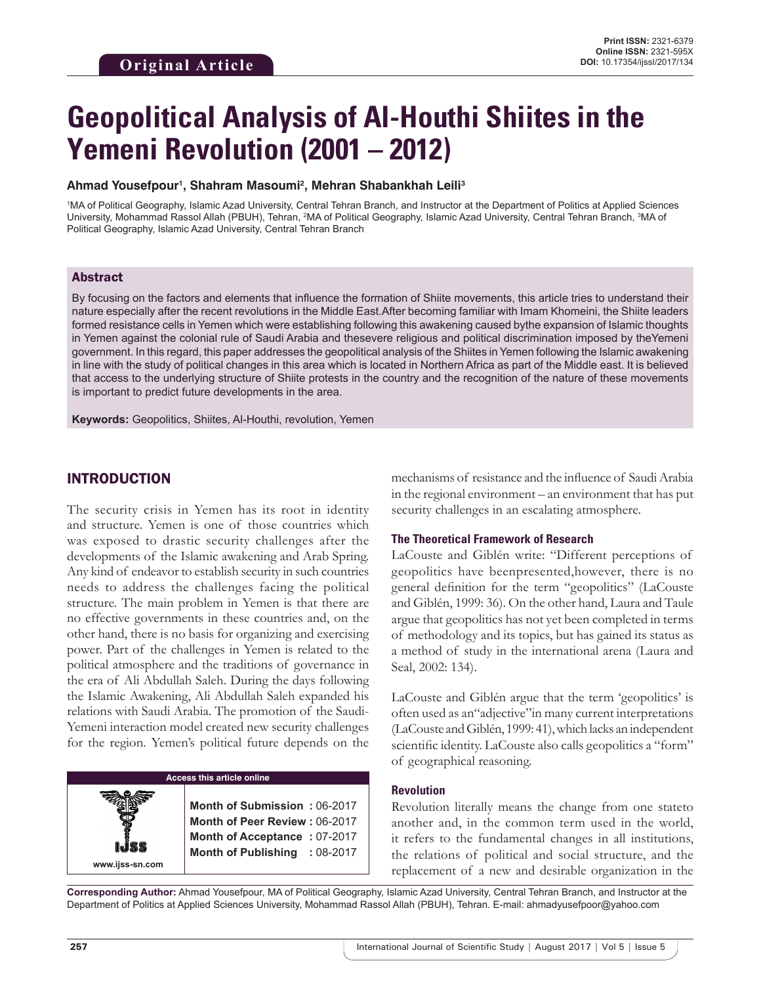# **Geopolitical Analysis of Al-Houthi Shiites in the Yemeni Revolution (2001 – 2012)**

## **Ahmad Yousefpour1 , Shahram Masoumi2 , Mehran Shabankhah Leili3**

1 MA of Political Geography, Islamic Azad University, Central Tehran Branch, and Instructor at the Department of Politics at Applied Sciences University, Mohammad Rassol Allah (PBUH), Tehran, <sup>2</sup>MA of Political Geography, Islamic Azad University, Central Tehran Branch, <sup>3</sup>MA of Political Geography, Islamic Azad University, Central Tehran Branch

## Abstract

By focusing on the factors and elements that influence the formation of Shiite movements, this article tries to understand their nature especially after the recent revolutions in the Middle East.After becoming familiar with Imam Khomeini, the Shiite leaders formed resistance cells in Yemen which were establishing following this awakening caused bythe expansion of Islamic thoughts in Yemen against the colonial rule of Saudi Arabia and thesevere religious and political discrimination imposed by theYemeni government. In this regard, this paper addresses the geopolitical analysis of the Shiites in Yemen following the Islamic awakening in line with the study of political changes in this area which is located in Northern Africa as part of the Middle east. It is believed that access to the underlying structure of Shiite protests in the country and the recognition of the nature of these movements is important to predict future developments in the area.

**Keywords:** Geopolitics, Shiites, Al-Houthi, revolution, Yemen

# INTRODUCTION

The security crisis in Yemen has its root in identity and structure. Yemen is one of those countries which was exposed to drastic security challenges after the developments of the Islamic awakening and Arab Spring. Any kind of endeavor to establish security in such countries needs to address the challenges facing the political structure. The main problem in Yemen is that there are no effective governments in these countries and, on the other hand, there is no basis for organizing and exercising power. Part of the challenges in Yemen is related to the political atmosphere and the traditions of governance in the era of Ali Abdullah Saleh. During the days following the Islamic Awakening, Ali Abdullah Saleh expanded his relations with Saudi Arabia. The promotion of the Saudi-Yemeni interaction model created new security challenges for the region. Yemen's political future depends on the

## **Access this article online**

**Month of Submission :** 06-2017 **Month of Peer Review :** 06-2017 **Month of Acceptance :** 07-2017 **Month of Publishing :** 08-2017 mechanisms of resistance and the influence of Saudi Arabia in the regional environment – an environment that has put security challenges in an escalating atmosphere.

### **The Theoretical Framework of Research**

LaCouste and Giblén write: "Different perceptions of geopolitics have beenpresented,however, there is no general definition for the term "geopolitics" (LaCouste and Giblén, 1999: 36). On the other hand, Laura and Taule argue that geopolitics has not yet been completed in terms of methodology and its topics, but has gained its status as a method of study in the international arena (Laura and Seal, 2002: 134).

LaCouste and Giblén argue that the term 'geopolitics' is often used as an"adjective"in many current interpretations (LaCouste and Giblén, 1999: 41), which lacks an independent scientific identity. LaCouste also calls geopolitics a "form" of geographical reasoning.

#### **Revolution**

Revolution literally means the change from one stateto another and, in the common term used in the world, it refers to the fundamental changes in all institutions, the relations of political and social structure, and the replacement of a new and desirable organization in the

**Corresponding Author:** Ahmad Yousefpour, MA of Political Geography, Islamic Azad University, Central Tehran Branch, and Instructor at the Department of Politics at Applied Sciences University, Mohammad Rassol Allah (PBUH), Tehran. E-mail: ahmadyusefpoor@yahoo.com

**www.ijss-sn.com**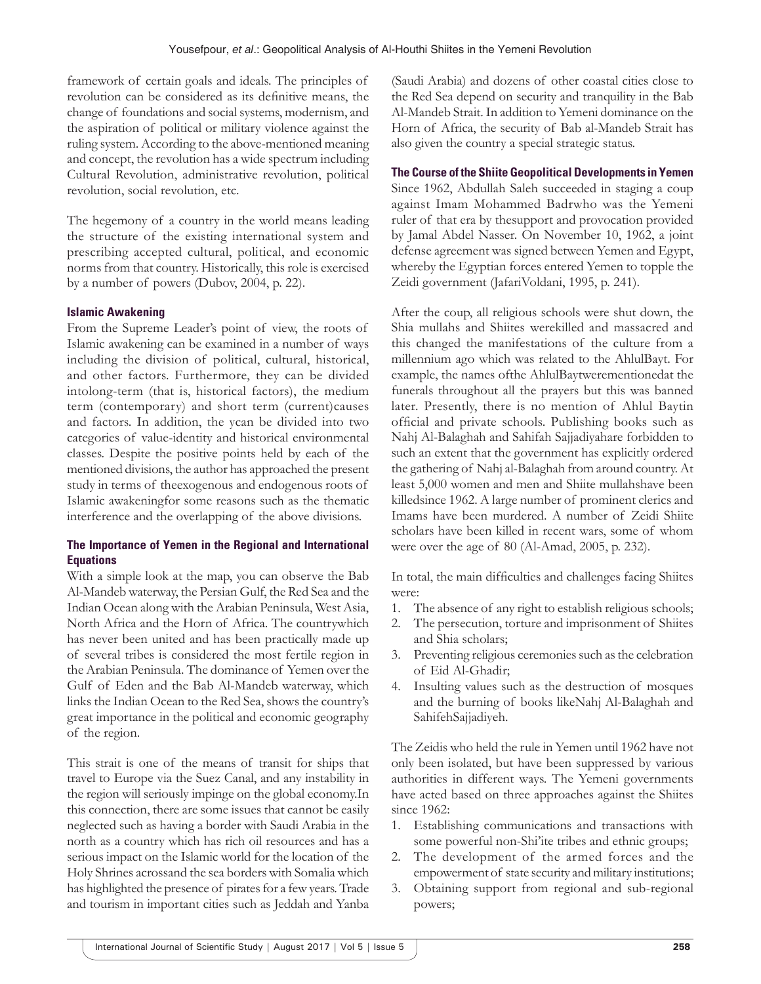framework of certain goals and ideals. The principles of revolution can be considered as its definitive means, the change of foundations and social systems, modernism, and the aspiration of political or military violence against the ruling system. According to the above-mentioned meaning and concept, the revolution has a wide spectrum including Cultural Revolution, administrative revolution, political revolution, social revolution, etc.

The hegemony of a country in the world means leading the structure of the existing international system and prescribing accepted cultural, political, and economic norms from that country. Historically, this role is exercised by a number of powers (Dubov, 2004, p. 22).

## **Islamic Awakening**

From the Supreme Leader's point of view, the roots of Islamic awakening can be examined in a number of ways including the division of political, cultural, historical, and other factors. Furthermore, they can be divided intolong-term (that is, historical factors), the medium term (contemporary) and short term (current)causes and factors. In addition, the ycan be divided into two categories of value-identity and historical environmental classes. Despite the positive points held by each of the mentioned divisions, the author has approached the present study in terms of theexogenous and endogenous roots of Islamic awakeningfor some reasons such as the thematic interference and the overlapping of the above divisions.

## **The Importance of Yemen in the Regional and International Equations**

With a simple look at the map, you can observe the Bab Al-Mandeb waterway, the Persian Gulf, the Red Sea and the Indian Ocean along with the Arabian Peninsula, West Asia, North Africa and the Horn of Africa. The countrywhich has never been united and has been practically made up of several tribes is considered the most fertile region in the Arabian Peninsula. The dominance of Yemen over the Gulf of Eden and the Bab Al-Mandeb waterway, which links the Indian Ocean to the Red Sea, shows the country's great importance in the political and economic geography of the region.

This strait is one of the means of transit for ships that travel to Europe via the Suez Canal, and any instability in the region will seriously impinge on the global economy.In this connection, there are some issues that cannot be easily neglected such as having a border with Saudi Arabia in the north as a country which has rich oil resources and has a serious impact on the Islamic world for the location of the Holy Shrines acrossand the sea borders with Somalia which has highlighted the presence of pirates for a few years. Trade and tourism in important cities such as Jeddah and Yanba

(Saudi Arabia) and dozens of other coastal cities close to the Red Sea depend on security and tranquility in the Bab Al-Mandeb Strait. In addition to Yemeni dominance on the Horn of Africa, the security of Bab al-Mandeb Strait has also given the country a special strategic status.

## **The Course of the Shiite Geopolitical Developments in Yemen**

Since 1962, Abdullah Saleh succeeded in staging a coup against Imam Mohammed Badrwho was the Yemeni ruler of that era by thesupport and provocation provided by Jamal Abdel Nasser. On November 10, 1962, a joint defense agreement was signed between Yemen and Egypt, whereby the Egyptian forces entered Yemen to topple the Zeidi government (JafariVoldani, 1995, p. 241).

After the coup, all religious schools were shut down, the Shia mullahs and Shiites werekilled and massacred and this changed the manifestations of the culture from a millennium ago which was related to the AhlulBayt. For example, the names ofthe AhlulBaytwerementionedat the funerals throughout all the prayers but this was banned later. Presently, there is no mention of Ahlul Baytin official and private schools. Publishing books such as Nahj Al-Balaghah and Sahifah Sajjadiyahare forbidden to such an extent that the government has explicitly ordered the gathering of Nahj al-Balaghah from around country. At least 5,000 women and men and Shiite mullahshave been killedsince 1962. A large number of prominent clerics and Imams have been murdered. A number of Zeidi Shiite scholars have been killed in recent wars, some of whom were over the age of 80 (Al-Amad, 2005, p. 232).

In total, the main difficulties and challenges facing Shiites were:

- 1. The absence of any right to establish religious schools;
- 2. The persecution, torture and imprisonment of Shiites and Shia scholars;
- 3. Preventing religious ceremonies such as the celebration of Eid Al-Ghadir;
- 4. Insulting values such as the destruction of mosques and the burning of books likeNahj Al-Balaghah and SahifehSajjadiyeh.

The Zeidis who held the rule in Yemen until 1962 have not only been isolated, but have been suppressed by various authorities in different ways. The Yemeni governments have acted based on three approaches against the Shiites since 1962:

- 1. Establishing communications and transactions with some powerful non-Shi'ite tribes and ethnic groups;
- 2. The development of the armed forces and the empowerment of state security and military institutions;
- 3. Obtaining support from regional and sub-regional powers;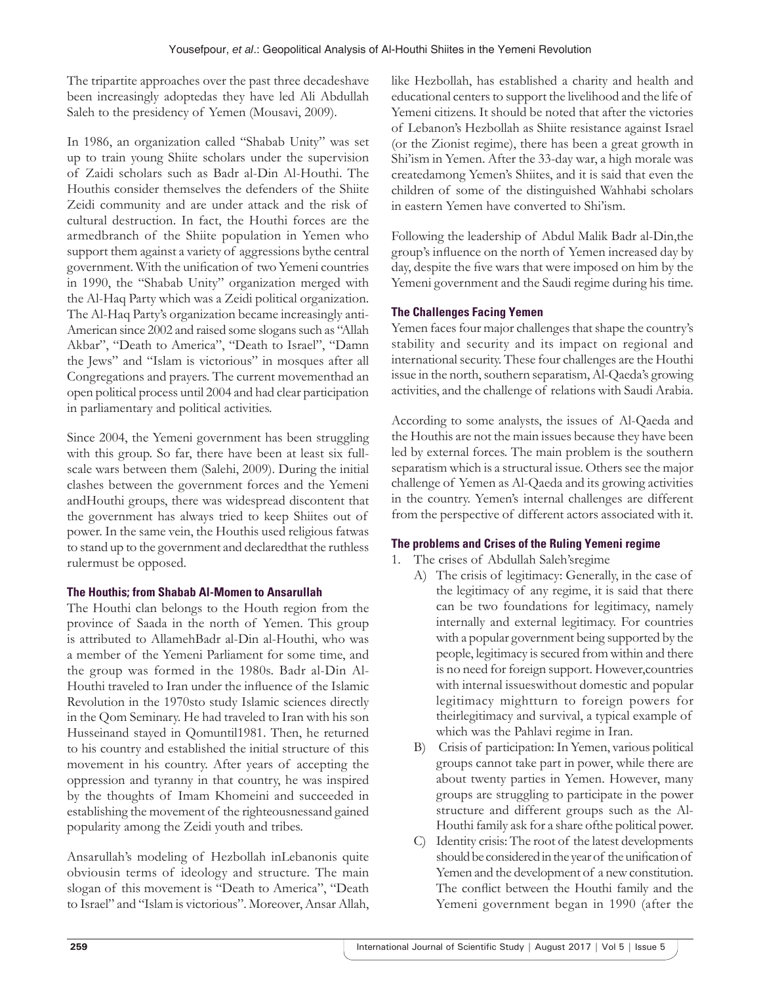The tripartite approaches over the past three decadeshave been increasingly adoptedas they have led Ali Abdullah Saleh to the presidency of Yemen (Mousavi, 2009).

In 1986, an organization called "Shabab Unity" was set up to train young Shiite scholars under the supervision of Zaidi scholars such as Badr al-Din Al-Houthi. The Houthis consider themselves the defenders of the Shiite Zeidi community and are under attack and the risk of cultural destruction. In fact, the Houthi forces are the armedbranch of the Shiite population in Yemen who support them against a variety of aggressions bythe central government. With the unification of two Yemeni countries in 1990, the "Shabab Unity" organization merged with the Al-Haq Party which was a Zeidi political organization. The Al-Haq Party's organization became increasingly anti-American since 2002 and raised some slogans such as "Allah Akbar", "Death to America", "Death to Israel", "Damn the Jews" and "Islam is victorious" in mosques after all Congregations and prayers. The current movementhad an open political process until 2004 and had clear participation in parliamentary and political activities.

Since 2004, the Yemeni government has been struggling with this group. So far, there have been at least six fullscale wars between them (Salehi, 2009). During the initial clashes between the government forces and the Yemeni andHouthi groups, there was widespread discontent that the government has always tried to keep Shiites out of power. In the same vein, the Houthis used religious fatwas to stand up to the government and declaredthat the ruthless rulermust be opposed.

# **The Houthis; from Shabab Al-Momen to Ansarullah**

The Houthi clan belongs to the Houth region from the province of Saada in the north of Yemen. This group is attributed to AllamehBadr al-Din al-Houthi, who was a member of the Yemeni Parliament for some time, and the group was formed in the 1980s. Badr al-Din Al-Houthi traveled to Iran under the influence of the Islamic Revolution in the 1970sto study Islamic sciences directly in the Qom Seminary. He had traveled to Iran with his son Husseinand stayed in Qomuntil1981. Then, he returned to his country and established the initial structure of this movement in his country. After years of accepting the oppression and tyranny in that country, he was inspired by the thoughts of Imam Khomeini and succeeded in establishing the movement of the righteousnessand gained popularity among the Zeidi youth and tribes.

Ansarullah's modeling of Hezbollah inLebanonis quite obviousin terms of ideology and structure. The main slogan of this movement is "Death to America", "Death to Israel" and "Islam is victorious". Moreover, Ansar Allah, like Hezbollah, has established a charity and health and educational centers to support the livelihood and the life of Yemeni citizens. It should be noted that after the victories of Lebanon's Hezbollah as Shiite resistance against Israel (or the Zionist regime), there has been a great growth in Shi'ism in Yemen. After the 33-day war, a high morale was createdamong Yemen's Shiites, and it is said that even the children of some of the distinguished Wahhabi scholars in eastern Yemen have converted to Shi'ism.

Following the leadership of Abdul Malik Badr al-Din,the group's influence on the north of Yemen increased day by day, despite the five wars that were imposed on him by the Yemeni government and the Saudi regime during his time.

# **The Challenges Facing Yemen**

Yemen faces four major challenges that shape the country's stability and security and its impact on regional and international security. These four challenges are the Houthi issue in the north, southern separatism, Al-Qaeda's growing activities, and the challenge of relations with Saudi Arabia.

According to some analysts, the issues of Al-Qaeda and the Houthis are not the main issues because they have been led by external forces. The main problem is the southern separatism which is a structural issue. Others see the major challenge of Yemen as Al-Qaeda and its growing activities in the country. Yemen's internal challenges are different from the perspective of different actors associated with it.

# **The problems and Crises of the Ruling Yemeni regime**

- 1. The crises of Abdullah Saleh'sregime
	- A) The crisis of legitimacy: Generally, in the case of the legitimacy of any regime, it is said that there can be two foundations for legitimacy, namely internally and external legitimacy. For countries with a popular government being supported by the people, legitimacy is secured from within and there is no need for foreign support. However,countries with internal issueswithout domestic and popular legitimacy mightturn to foreign powers for theirlegitimacy and survival, a typical example of which was the Pahlavi regime in Iran.
	- B) Crisis of participation: In Yemen, various political groups cannot take part in power, while there are about twenty parties in Yemen. However, many groups are struggling to participate in the power structure and different groups such as the Al-Houthi family ask for a share ofthe political power.
	- C) Identity crisis: The root of the latest developments should be considered in the year of the unification of Yemen and the development of a new constitution. The conflict between the Houthi family and the Yemeni government began in 1990 (after the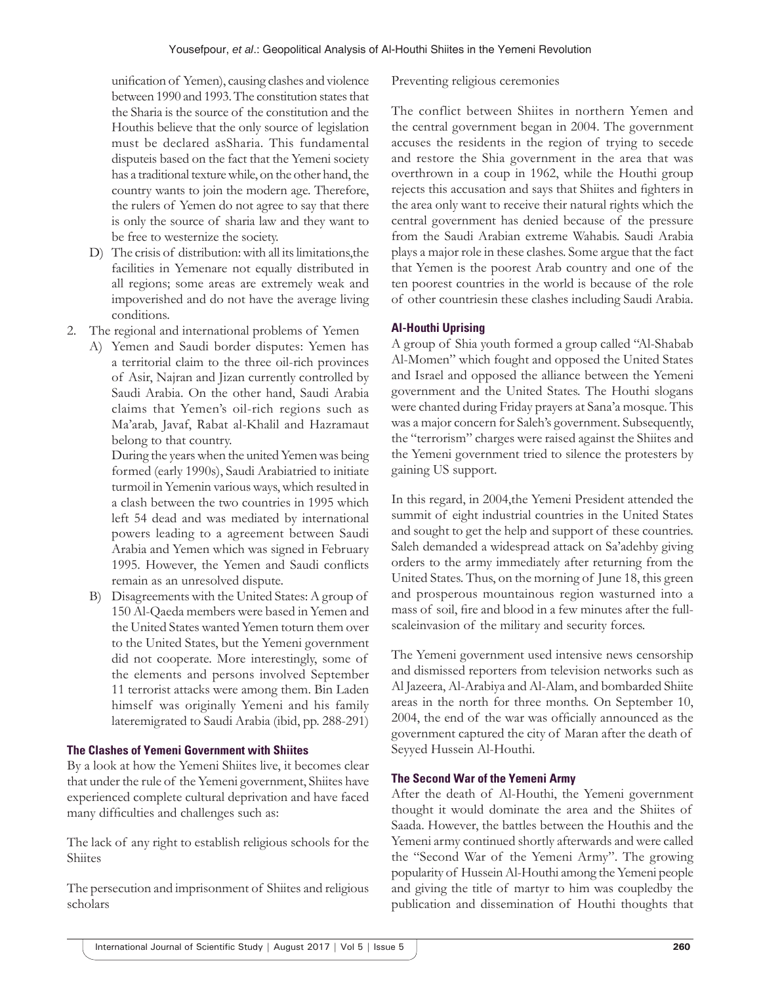unification of Yemen), causing clashes and violence between 1990 and 1993. The constitution states that the Sharia is the source of the constitution and the Houthis believe that the only source of legislation must be declared asSharia. This fundamental disputeis based on the fact that the Yemeni society has a traditional texture while, on the other hand, the country wants to join the modern age. Therefore, the rulers of Yemen do not agree to say that there is only the source of sharia law and they want to be free to westernize the society.

- D) The crisis of distribution: with all its limitations,the facilities in Yemenare not equally distributed in all regions; some areas are extremely weak and impoverished and do not have the average living conditions.
- 2. The regional and international problems of Yemen
	- A) Yemen and Saudi border disputes: Yemen has a territorial claim to the three oil-rich provinces of Asir, Najran and Jizan currently controlled by Saudi Arabia. On the other hand, Saudi Arabia claims that Yemen's oil-rich regions such as Ma'arab, Javaf, Rabat al-Khalil and Hazramaut belong to that country.

During the years when the united Yemen was being formed (early 1990s), Saudi Arabiatried to initiate turmoil in Yemenin various ways, which resulted in a clash between the two countries in 1995 which left 54 dead and was mediated by international powers leading to a agreement between Saudi Arabia and Yemen which was signed in February 1995. However, the Yemen and Saudi conflicts remain as an unresolved dispute.

B) Disagreements with the United States: A group of 150 Al-Qaeda members were based in Yemen and the United States wanted Yemen toturn them over to the United States, but the Yemeni government did not cooperate. More interestingly, some of the elements and persons involved September 11 terrorist attacks were among them. Bin Laden himself was originally Yemeni and his family lateremigrated to Saudi Arabia (ibid, pp. 288-291)

## **The Clashes of Yemeni Government with Shiites**

By a look at how the Yemeni Shiites live, it becomes clear that under the rule of the Yemeni government, Shiites have experienced complete cultural deprivation and have faced many difficulties and challenges such as:

The lack of any right to establish religious schools for the Shiites

The persecution and imprisonment of Shiites and religious scholars

## Preventing religious ceremonies

The conflict between Shiites in northern Yemen and the central government began in 2004. The government accuses the residents in the region of trying to secede and restore the Shia government in the area that was overthrown in a coup in 1962, while the Houthi group rejects this accusation and says that Shiites and fighters in the area only want to receive their natural rights which the central government has denied because of the pressure from the Saudi Arabian extreme Wahabis. Saudi Arabia plays a major role in these clashes. Some argue that the fact that Yemen is the poorest Arab country and one of the ten poorest countries in the world is because of the role of other countriesin these clashes including Saudi Arabia.

# **Al-Houthi Uprising**

A group of Shia youth formed a group called "Al-Shabab Al-Momen" which fought and opposed the United States and Israel and opposed the alliance between the Yemeni government and the United States. The Houthi slogans were chanted during Friday prayers at Sana'a mosque. This was a major concern for Saleh's government. Subsequently, the "terrorism" charges were raised against the Shiites and the Yemeni government tried to silence the protesters by gaining US support.

In this regard, in 2004,the Yemeni President attended the summit of eight industrial countries in the United States and sought to get the help and support of these countries. Saleh demanded a widespread attack on Sa'adehby giving orders to the army immediately after returning from the United States. Thus, on the morning of June 18, this green and prosperous mountainous region wasturned into a mass of soil, fire and blood in a few minutes after the fullscaleinvasion of the military and security forces.

The Yemeni government used intensive news censorship and dismissed reporters from television networks such as Al Jazeera, Al-Arabiya and Al-Alam, and bombarded Shiite areas in the north for three months. On September 10, 2004, the end of the war was officially announced as the government captured the city of Maran after the death of Seyyed Hussein Al-Houthi.

# **The Second War of the Yemeni Army**

After the death of Al-Houthi, the Yemeni government thought it would dominate the area and the Shiites of Saada. However, the battles between the Houthis and the Yemeni army continued shortly afterwards and were called the "Second War of the Yemeni Army". The growing popularity of Hussein Al-Houthi among the Yemeni people and giving the title of martyr to him was coupledby the publication and dissemination of Houthi thoughts that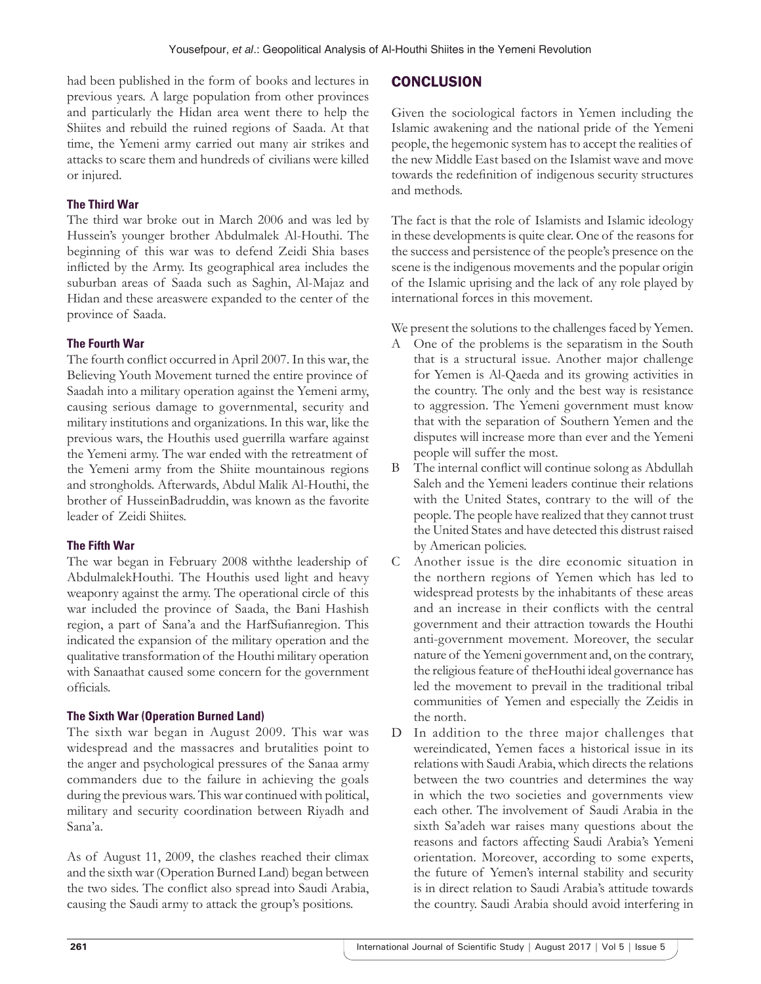had been published in the form of books and lectures in previous years. A large population from other provinces and particularly the Hidan area went there to help the Shiites and rebuild the ruined regions of Saada. At that time, the Yemeni army carried out many air strikes and attacks to scare them and hundreds of civilians were killed or injured.

# **The Third War**

The third war broke out in March 2006 and was led by Hussein's younger brother Abdulmalek Al-Houthi. The beginning of this war was to defend Zeidi Shia bases inflicted by the Army. Its geographical area includes the suburban areas of Saada such as Saghin, Al-Majaz and Hidan and these areaswere expanded to the center of the province of Saada.

## **The Fourth War**

The fourth conflict occurred in April 2007. In this war, the Believing Youth Movement turned the entire province of Saadah into a military operation against the Yemeni army, causing serious damage to governmental, security and military institutions and organizations. In this war, like the previous wars, the Houthis used guerrilla warfare against the Yemeni army. The war ended with the retreatment of the Yemeni army from the Shiite mountainous regions and strongholds. Afterwards, Abdul Malik Al-Houthi, the brother of HusseinBadruddin, was known as the favorite leader of Zeidi Shiites.

## **The Fifth War**

The war began in February 2008 withthe leadership of AbdulmalekHouthi. The Houthis used light and heavy weaponry against the army. The operational circle of this war included the province of Saada, the Bani Hashish region, a part of Sana'a and the HarfSufianregion. This indicated the expansion of the military operation and the qualitative transformation of the Houthi military operation with Sanaathat caused some concern for the government officials.

# **The Sixth War (Operation Burned Land)**

The sixth war began in August 2009. This war was widespread and the massacres and brutalities point to the anger and psychological pressures of the Sanaa army commanders due to the failure in achieving the goals during the previous wars. This war continued with political, military and security coordination between Riyadh and Sana'a.

As of August 11, 2009, the clashes reached their climax and the sixth war (Operation Burned Land) began between the two sides. The conflict also spread into Saudi Arabia, causing the Saudi army to attack the group's positions.

# **CONCLUSION**

Given the sociological factors in Yemen including the Islamic awakening and the national pride of the Yemeni people, the hegemonic system has to accept the realities of the new Middle East based on the Islamist wave and move towards the redefinition of indigenous security structures and methods.

The fact is that the role of Islamists and Islamic ideology in these developments is quite clear. One of the reasons for the success and persistence of the people's presence on the scene is the indigenous movements and the popular origin of the Islamic uprising and the lack of any role played by international forces in this movement.

We present the solutions to the challenges faced by Yemen.

- A One of the problems is the separatism in the South that is a structural issue. Another major challenge for Yemen is Al-Qaeda and its growing activities in the country. The only and the best way is resistance to aggression. The Yemeni government must know that with the separation of Southern Yemen and the disputes will increase more than ever and the Yemeni people will suffer the most.
- B The internal conflict will continue solong as Abdullah Saleh and the Yemeni leaders continue their relations with the United States, contrary to the will of the people. The people have realized that they cannot trust the United States and have detected this distrust raised by American policies.
- C Another issue is the dire economic situation in the northern regions of Yemen which has led to widespread protests by the inhabitants of these areas and an increase in their conflicts with the central government and their attraction towards the Houthi anti-government movement. Moreover, the secular nature of the Yemeni government and, on the contrary, the religious feature of theHouthi ideal governance has led the movement to prevail in the traditional tribal communities of Yemen and especially the Zeidis in the north.
- D In addition to the three major challenges that wereindicated, Yemen faces a historical issue in its relations with Saudi Arabia, which directs the relations between the two countries and determines the way in which the two societies and governments view each other. The involvement of Saudi Arabia in the sixth Sa'adeh war raises many questions about the reasons and factors affecting Saudi Arabia's Yemeni orientation. Moreover, according to some experts, the future of Yemen's internal stability and security is in direct relation to Saudi Arabia's attitude towards the country. Saudi Arabia should avoid interfering in